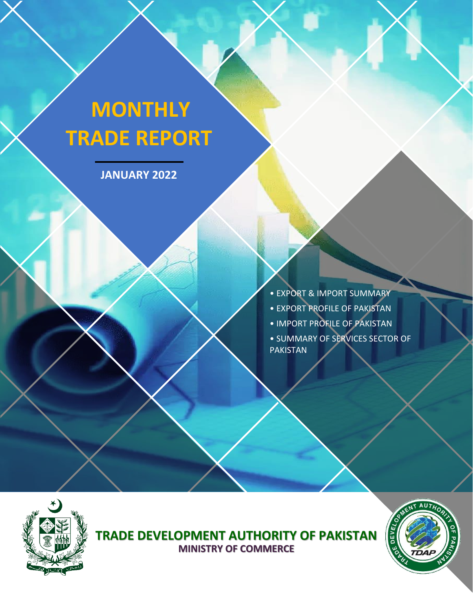# **MONTHLY TRADE REPORT**

**JANUARY 2022**

• EXPORT & IMPORT SUMMARY • EXPORT PROFILE OF PAKISTAN • IMPORT PROFILE OF PAKISTAN

• SUMMARY OF SERVICES SECTOR OF PAKISTAN



**TRADE DEVELOPMENT AUTHORITY OF PAKISTAN MINISTRY OF COMMERCE**

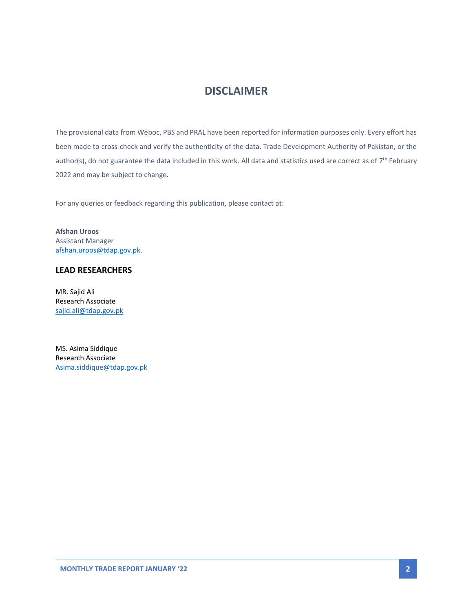# **DISCLAIMER**

The provisional data from Weboc, PBS and PRAL have been reported for information purposes only. Every effort has been made to cross-check and verify the authenticity of the data. Trade Development Authority of Pakistan, or the author(s), do not guarantee the data included in this work. All data and statistics used are correct as of  $7^{\text{th}}$  February 2022 and may be subject to change.

For any queries or feedback regarding this publication, please contact at:

**Afshan Uroos** Assistant Manager [afshan.uroos@tdap.gov.pk.](mailto:afshan.uroos@tdap.gov.pk)

### **LEAD RESEARCHERS**

MR. Sajid Ali Research Associate [sajid.ali@tdap.gov.pk](mailto:sajid.ali@tdap.gov.pk)

MS. Asima Siddique Research Associate [Asima.siddique@tdap.gov.pk](mailto:Asima.siddique@tdap.gov.pk)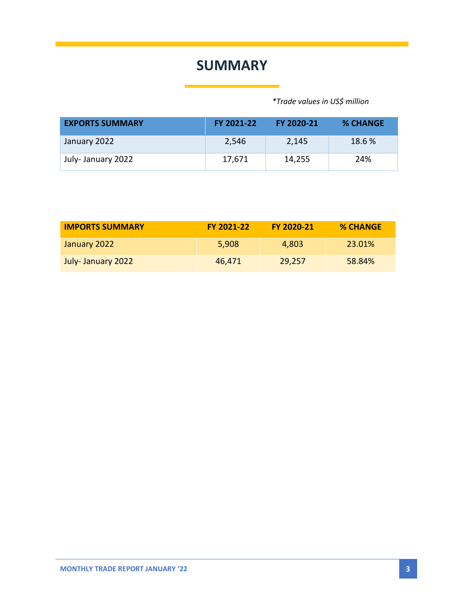# **SUMMARY**

 *\*Trade values in US\$ million*

| <b>EXPORTS SUMMARY</b> | FY 2021-22 | FY 2020-21 | <b>% CHANGE</b> |
|------------------------|------------|------------|-----------------|
| January 2022           | 2,546      | 2,145      | 18.6 %          |
| July-January 2022      | 17,671     | 14,255     | 24%             |

| <b>IMPORTS SUMMARY</b> | <b>FY 2021-22</b> | <b>FY 2020-21</b> | <b>% CHANGE</b> |
|------------------------|-------------------|-------------------|-----------------|
| January 2022           | 5.908             | 4,803             | 23.01%          |
| July-January 2022      | 46.471            | 29,257            | 58.84%          |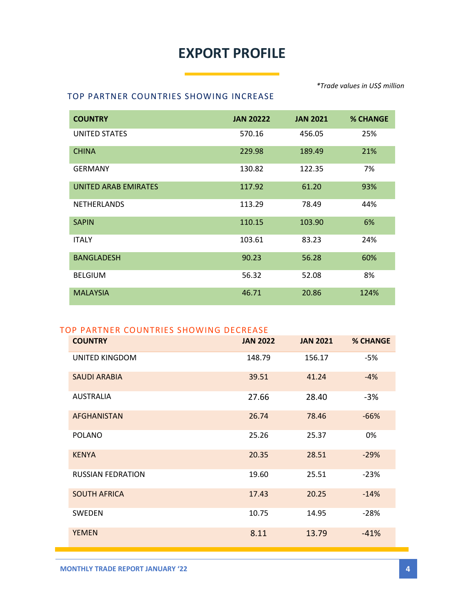# **EXPORT PROFILE**

#### TOP PARTNER COUNTRIES SHOWING INCREASE

| <b>COUNTRY</b>              | <b>JAN 20222</b> | <b>JAN 2021</b> | <b>% CHANGE</b> |
|-----------------------------|------------------|-----------------|-----------------|
| <b>UNITED STATES</b>        | 570.16           | 456.05          | 25%             |
| <b>CHINA</b>                | 229.98           | 189.49          | 21%             |
| <b>GERMANY</b>              | 130.82           | 122.35          | 7%              |
| <b>UNITED ARAB EMIRATES</b> | 117.92           | 61.20           | 93%             |
| <b>NETHERLANDS</b>          | 113.29           | 78.49           | 44%             |
| <b>SAPIN</b>                | 110.15           | 103.90          | 6%              |
| <b>ITALY</b>                | 103.61           | 83.23           | 24%             |
| <b>BANGLADESH</b>           | 90.23            | 56.28           | 60%             |
| <b>BELGIUM</b>              | 56.32            | 52.08           | 8%              |
| <b>MALAYSIA</b>             | 46.71            | 20.86           | 124%            |

### TOP PARTNER COUNTRIES SHOWING DECREASE

| <b>COUNTRY</b>           | <b>JAN 2022</b> | <b>JAN 2021</b> | <b>% CHANGE</b> |
|--------------------------|-----------------|-----------------|-----------------|
| UNITED KINGDOM           | 148.79          | 156.17          | -5%             |
| <b>SAUDI ARABIA</b>      | 39.51           | 41.24           | $-4%$           |
| <b>AUSTRALIA</b>         | 27.66           | 28.40           | $-3%$           |
| <b>AFGHANISTAN</b>       | 26.74           | 78.46           | $-66%$          |
| <b>POLANO</b>            | 25.26           | 25.37           | 0%              |
| <b>KENYA</b>             | 20.35           | 28.51           | $-29%$          |
| <b>RUSSIAN FEDRATION</b> | 19.60           | 25.51           | $-23%$          |
| <b>SOUTH AFRICA</b>      | 17.43           | 20.25           | $-14%$          |
| <b>SWEDEN</b>            | 10.75           | 14.95           | $-28%$          |
| <b>YEMEN</b>             | 8.11            | 13.79           | $-41%$          |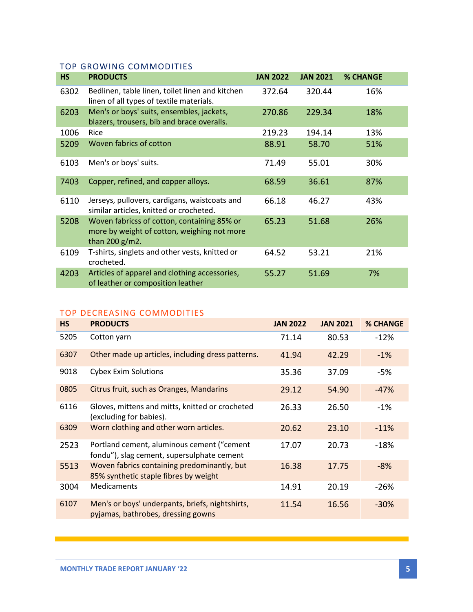## TOP GROWING COMMODITIES

| <b>HS</b> | <b>PRODUCTS</b>                                                                                                 | <b>JAN 2022</b> | <b>JAN 2021</b> | <b>% CHANGE</b> |  |
|-----------|-----------------------------------------------------------------------------------------------------------------|-----------------|-----------------|-----------------|--|
| 6302      | Bedlinen, table linen, toilet linen and kitchen<br>linen of all types of textile materials.                     | 372.64          | 320.44          | 16%             |  |
| 6203      | Men's or boys' suits, ensembles, jackets,<br>blazers, trousers, bib and brace overalls.                         | 270.86          | 229.34          | 18%             |  |
| 1006      | Rice                                                                                                            | 219.23          | 194.14          | 13%             |  |
| 5209      | Woven fabrics of cotton                                                                                         | 88.91           | 58.70           | 51%             |  |
| 6103      | Men's or boys' suits.                                                                                           | 71.49           | 55.01           | 30%             |  |
| 7403      | Copper, refined, and copper alloys.                                                                             | 68.59           | 36.61           | 87%             |  |
| 6110      | Jerseys, pullovers, cardigans, waistcoats and<br>similar articles, knitted or crocheted.                        | 66.18           | 46.27           | 43%             |  |
| 5208      | Woven fabricss of cotton, containing 85% or<br>more by weight of cotton, weighing not more<br>than 200 $g/m2$ . | 65.23           | 51.68           | 26%             |  |
| 6109      | T-shirts, singlets and other vests, knitted or<br>crocheted.                                                    | 64.52           | 53.21           | 21%             |  |
| 4203      | Articles of apparel and clothing accessories,<br>of leather or composition leather                              | 55.27           | 51.69           | 7%              |  |

# TOP DECREASING COMMODITIES

| <b>HS</b> | <b>PRODUCTS</b>                                                                          | <b>JAN 2022</b> | <b>JAN 2021</b> | <b>% CHANGE</b> |
|-----------|------------------------------------------------------------------------------------------|-----------------|-----------------|-----------------|
| 5205      | Cotton yarn                                                                              | 71.14           | 80.53           | $-12%$          |
| 6307      | Other made up articles, including dress patterns.                                        | 41.94           | 42.29           | $-1\%$          |
| 9018      | <b>Cybex Exim Solutions</b>                                                              | 35.36           | 37.09           | -5%             |
| 0805      | Citrus fruit, such as Oranges, Mandarins                                                 | 29.12           | 54.90           | $-47%$          |
| 6116      | Gloves, mittens and mitts, knitted or crocheted<br>(excluding for babies).               | 26.33           | 26.50           | $-1%$           |
| 6309      | Worn clothing and other worn articles.                                                   | 20.62           | 23.10           | $-11%$          |
| 2523      | Portland cement, aluminous cement ("cement<br>fondu"), slag cement, supersulphate cement | 17.07           | 20.73           | $-18%$          |
| 5513      | Woven fabrics containing predominantly, but<br>85% synthetic staple fibres by weight     | 16.38           | 17.75           | $-8%$           |
| 3004      | <b>Medicaments</b>                                                                       | 14.91           | 20.19           | $-26%$          |
| 6107      | Men's or boys' underpants, briefs, nightshirts,<br>pyjamas, bathrobes, dressing gowns    | 11.54           | 16.56           | $-30%$          |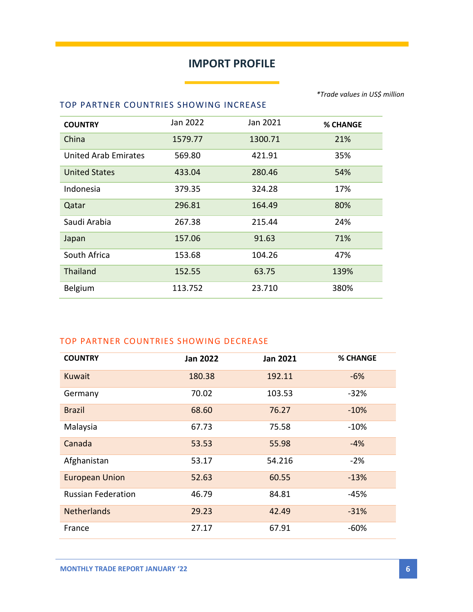# **IMPORT PROFILE**

### TOP PARTNER COUNTRIES SHOWING INCREASE

| <b>COUNTRY</b>              | Jan 2022 | Jan 2021 | <b>% CHANGE</b> |
|-----------------------------|----------|----------|-----------------|
| China                       | 1579.77  | 1300.71  | 21%             |
| <b>United Arab Emirates</b> | 569.80   | 421.91   | 35%             |
| <b>United States</b>        | 433.04   | 280.46   | 54%             |
| Indonesia                   | 379.35   | 324.28   | 17%             |
| Qatar                       | 296.81   | 164.49   | 80%             |
| Saudi Arabia                | 267.38   | 215.44   | 24%             |
| Japan                       | 157.06   | 91.63    | 71%             |
| South Africa                | 153.68   | 104.26   | 47%             |
| <b>Thailand</b>             | 152.55   | 63.75    | 139%            |
| <b>Belgium</b>              | 113.752  | 23.710   | 380%            |

## TOP PARTNER COUNTRIES SHOWING DECREASE

| <b>COUNTRY</b>            | <b>Jan 2022</b> | <b>Jan 2021</b> | <b>% CHANGE</b> |
|---------------------------|-----------------|-----------------|-----------------|
| <b>Kuwait</b>             | 180.38          | 192.11          | $-6%$           |
| Germany                   | 70.02           | 103.53          | $-32%$          |
| <b>Brazil</b>             | 68.60           | 76.27           | $-10%$          |
| Malaysia                  | 67.73           | 75.58           | $-10\%$         |
| Canada                    | 53.53           | 55.98           | $-4%$           |
| Afghanistan               | 53.17           | 54.216          | $-2%$           |
| <b>European Union</b>     | 52.63           | 60.55           | $-13%$          |
| <b>Russian Federation</b> | 46.79           | 84.81           | $-45%$          |
| <b>Netherlands</b>        | 29.23           | 42.49           | $-31%$          |
| France                    | 27.17           | 67.91           | $-60%$          |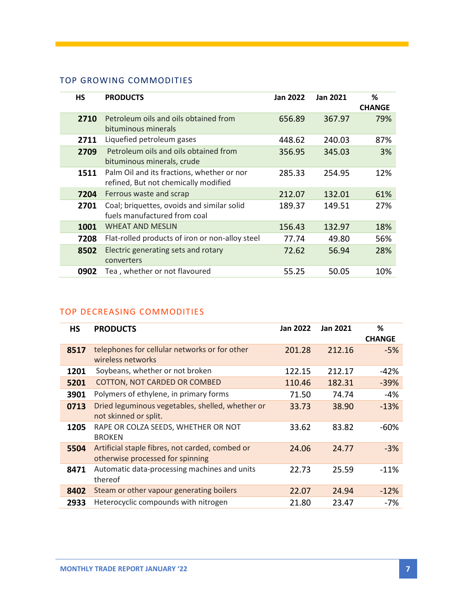## TOP GROWING COMMODITIES

| HS   | <b>PRODUCTS</b>                                                                    | <b>Jan 2022</b> | <b>Jan 2021</b> | %<br><b>CHANGE</b> |
|------|------------------------------------------------------------------------------------|-----------------|-----------------|--------------------|
| 2710 | Petroleum oils and oils obtained from<br>bituminous minerals                       | 656.89          | 367.97          | 79%                |
| 2711 | Liquefied petroleum gases                                                          | 448.62          | 240.03          | 87%                |
| 2709 | Petroleum oils and oils obtained from<br>bituminous minerals, crude                | 356.95          | 345.03          | 3%                 |
| 1511 | Palm Oil and its fractions, whether or nor<br>refined, But not chemically modified | 285.33          | 254.95          | 12%                |
| 7204 | Ferrous waste and scrap                                                            | 212.07          | 132.01          | 61%                |
| 2701 | Coal; briquettes, ovoids and similar solid<br>fuels manufactured from coal         | 189.37          | 149.51          | 27%                |
| 1001 | <b>WHEAT AND MESLIN</b>                                                            | 156.43          | 132.97          | 18%                |
| 7208 | Flat-rolled products of iron or non-alloy steel                                    | 77.74           | 49.80           | 56%                |
| 8502 | Electric generating sets and rotary<br>converters                                  | 72.62           | 56.94           | 28%                |
| 0902 | Tea, whether or not flavoured                                                      | 55.25           | 50.05           | 10%                |

# TOP DECREASING COMMODITIES

| <b>HS</b> | <b>PRODUCTS</b>                                  | Jan 2022 | <b>Jan 2021</b> | %             |
|-----------|--------------------------------------------------|----------|-----------------|---------------|
|           |                                                  |          |                 | <b>CHANGE</b> |
| 8517      | telephones for cellular networks or for other    | 201.28   | 212.16          | $-5%$         |
|           | wireless networks                                |          |                 |               |
| 1201      | Soybeans, whether or not broken                  | 122.15   | 212.17          | -42%          |
| 5201      | <b>COTTON, NOT CARDED OR COMBED</b>              | 110.46   | 182.31          | $-39%$        |
| 3901      | Polymers of ethylene, in primary forms           | 71.50    | 74.74           | -4%           |
| 0713      | Dried leguminous vegetables, shelled, whether or | 33.73    | 38.90           | $-13%$        |
|           | not skinned or split.                            |          |                 |               |
| 1205      | RAPE OR COLZA SEEDS, WHETHER OR NOT              | 33.62    | 83.82           | -60%          |
|           | <b>BROKEN</b>                                    |          |                 |               |
| 5504      | Artificial staple fibres, not carded, combed or  | 24.06    | 24.77           | $-3%$         |
|           | otherwise processed for spinning                 |          |                 |               |
| 8471      | Automatic data-processing machines and units     | 22.73    | 25.59           | $-11%$        |
|           | thereof                                          |          |                 |               |
| 8402      | Steam or other vapour generating boilers         | 22.07    | 24.94           | $-12%$        |
| 2933      | Heterocyclic compounds with nitrogen             | 21.80    | 23.47           | -7%           |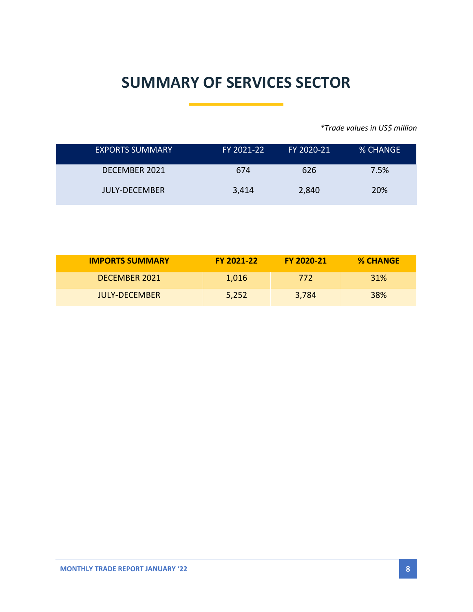# **SUMMARY OF SERVICES SECTOR**

*\*Trade values in US\$ million*

| <b>EXPORTS SUMMARY</b> | FY 2021-22 | FY 2020-21 | % CHANGE |
|------------------------|------------|------------|----------|
| DECEMBER 2021          | 674        | 626        | 7.5%     |
| <b>JULY-DECEMBER</b>   | 3,414      | 2,840      | 20%      |

| <b>IMPORTS SUMMARY</b> | FY 2021-22 | FY 2020-21 | <b>% CHANGE</b> |
|------------------------|------------|------------|-----------------|
| DECEMBER 2021          | 1.016      | 772        | <b>31%</b>      |
| JULY-DECEMBER          | 5,252      | 3,784      | <b>38%</b>      |